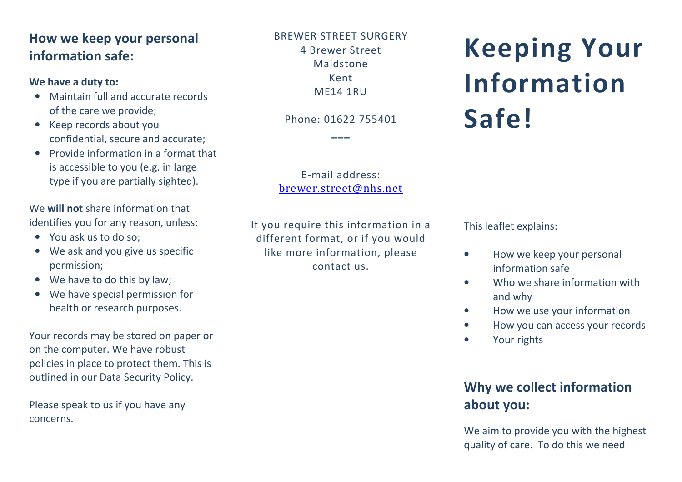## **How we keep your personal information safe:**

## **We have a duty to:**

- Maintain full and accurate records of the care we provide;
- Keep records about you confidential, secure and accurate;
- Provide information in a format that is accessible to you (e.g. in large type if you are partially sighted).

We **will not** share information that identifies you for any reason, unless:

- You ask us to do so;
- We ask and you give us specific permission;
- We have to do this by law;
- We have special permission for health or research purposes.

Your records may be stored on paper or on the computer. We have robust policies in place to protect them. This is outlined in our Data Security Policy.

Please speak to us if you have any concerns.

BREWER STREET SURGERY 4 Brewer Street Maidstone Kent ME14 1RU

Phone: 01622 755401

**\_\_\_** 

E-mail address:brewer.street@nhs.net

If you require this information in a different format, or if you would like more information, please contact us.

**Keeping Your InformationSafe!** 

This leaflet explains:

- $\bullet$  How we keep your personal information safe
- • Who we share information with and why
- $\bullet$ How we use your information
- •How you can access your records
- •Your rights

## **Why we collect information about you:**

We aim to provide you with the highest quality of care. To do this we need